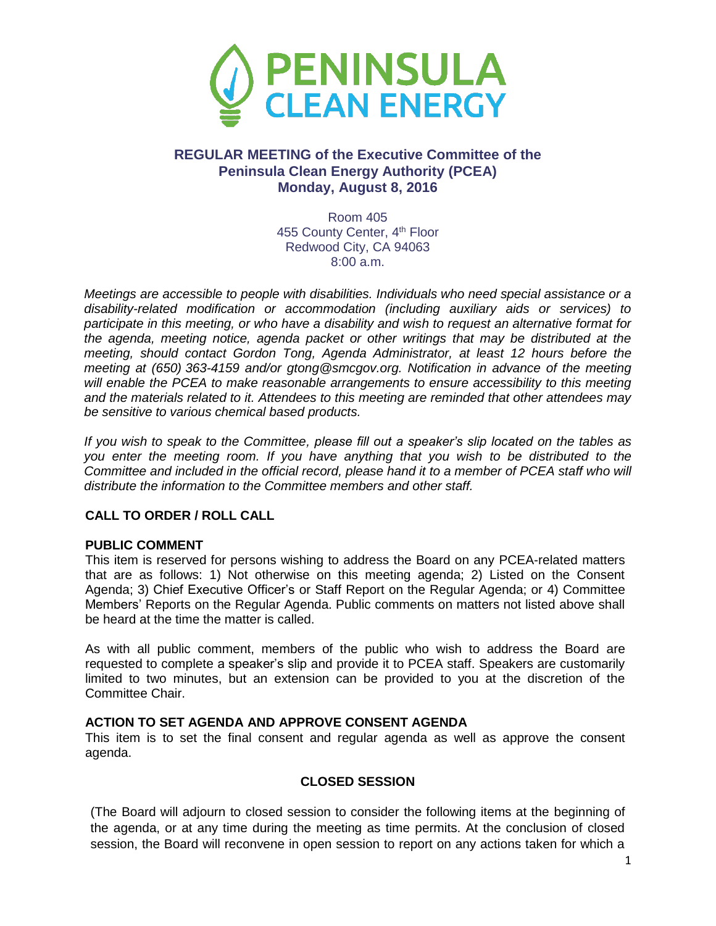

# **REGULAR MEETING of the Executive Committee of the Peninsula Clean Energy Authority (PCEA) Monday, August 8, 2016**

Room 405 455 County Center, 4<sup>th</sup> Floor Redwood City, CA 94063 8:00 a.m.

*Meetings are accessible to people with disabilities. Individuals who need special assistance or a disability-related modification or accommodation (including auxiliary aids or services) to participate in this meeting, or who have a disability and wish to request an alternative format for the agenda, meeting notice, agenda packet or other writings that may be distributed at the meeting, should contact Gordon Tong, Agenda Administrator, at least 12 hours before the meeting at (650) 363-4159 and/or gtong@smcgov.org. Notification in advance of the meeting will enable the PCEA to make reasonable arrangements to ensure accessibility to this meeting and the materials related to it. Attendees to this meeting are reminded that other attendees may be sensitive to various chemical based products.*

*If you wish to speak to the Committee, please fill out a speaker's slip located on the tables as you enter the meeting room. If you have anything that you wish to be distributed to the Committee and included in the official record, please hand it to a member of PCEA staff who will distribute the information to the Committee members and other staff.*

## **CALL TO ORDER / ROLL CALL**

#### **PUBLIC COMMENT**

This item is reserved for persons wishing to address the Board on any PCEA-related matters that are as follows: 1) Not otherwise on this meeting agenda; 2) Listed on the Consent Agenda; 3) Chief Executive Officer's or Staff Report on the Regular Agenda; or 4) Committee Members' Reports on the Regular Agenda. Public comments on matters not listed above shall be heard at the time the matter is called.

As with all public comment, members of the public who wish to address the Board are requested to complete a speaker's slip and provide it to PCEA staff. Speakers are customarily limited to two minutes, but an extension can be provided to you at the discretion of the Committee Chair.

## **ACTION TO SET AGENDA AND APPROVE CONSENT AGENDA**

This item is to set the final consent and regular agenda as well as approve the consent agenda.

## **CLOSED SESSION**

(The Board will adjourn to closed session to consider the following items at the beginning of the agenda, or at any time during the meeting as time permits. At the conclusion of closed session, the Board will reconvene in open session to report on any actions taken for which a